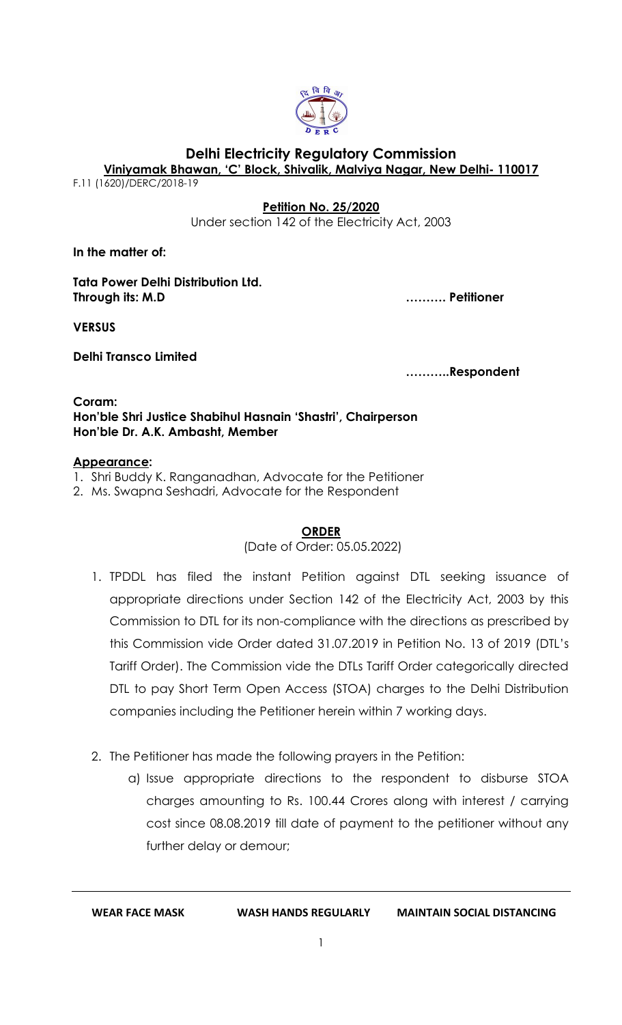

# **Delhi Electricity Regulatory Commission**

**Viniyamak Bhawan, 'C' Block, Shivalik, Malviya Nagar, New Delhi- 110017**

[F.11 \(1620\)/DERC/2018-19](http://192.168.1.151:8181/opa/servlet/inboxMainPage?filekey=1)

### **Petition No. 25/2020**

Under section 142 of the Electricity Act, 2003

**In the matter of:**

**Tata Power Delhi Distribution Ltd. Through its: M.D ………. Petitioner**

**VERSUS**

**Delhi Transco Limited**

**………..Respondent**

**Coram: Hon'ble Shri Justice Shabihul Hasnain 'Shastri', Chairperson Hon'ble Dr. A.K. Ambasht, Member**

#### **Appearance:**

1. Shri Buddy K. Ranganadhan, Advocate for the Petitioner

2. Ms. Swapna Seshadri, Advocate for the Respondent

### **ORDER**

(Date of Order: 05.05.2022)

- 1. TPDDL has filed the instant Petition against DTL seeking issuance of appropriate directions under Section 142 of the Electricity Act, 2003 by this Commission to DTL for its non-compliance with the directions as prescribed by this Commission vide Order dated 31.07.2019 in Petition No. 13 of 2019 (DTL's Tariff Order). The Commission vide the DTLs Tariff Order categorically directed DTL to pay Short Term Open Access (STOA) charges to the Delhi Distribution companies including the Petitioner herein within 7 working days.
- 2. The Petitioner has made the following prayers in the Petition:
	- a) Issue appropriate directions to the respondent to disburse STOA charges amounting to Rs. 100.44 Crores along with interest / carrying cost since 08.08.2019 till date of payment to the petitioner without any further delay or demour;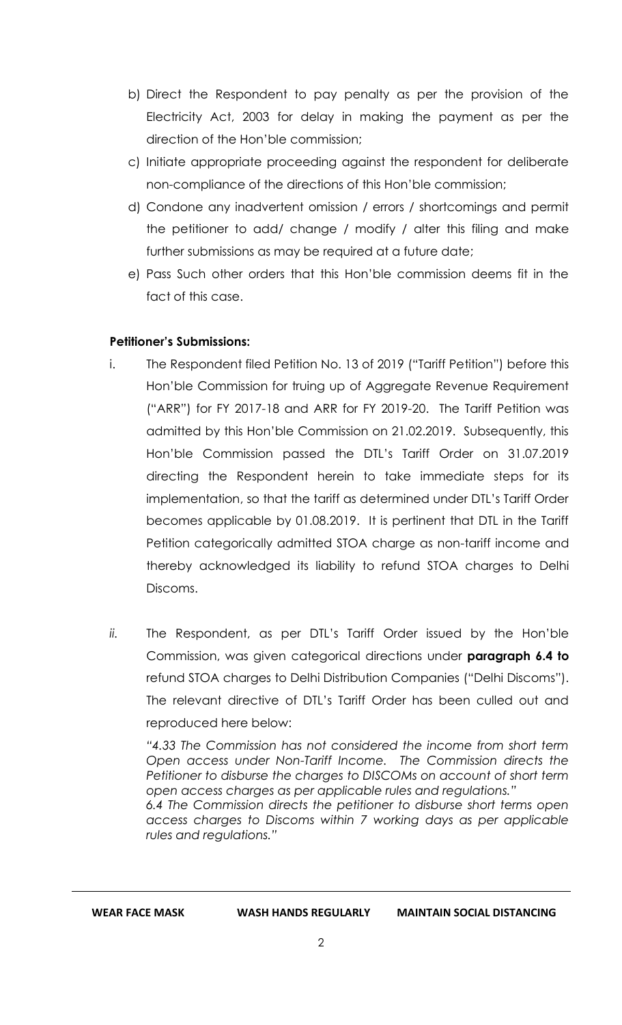- b) Direct the Respondent to pay penalty as per the provision of the Electricity Act, 2003 for delay in making the payment as per the direction of the Hon'ble commission;
- c) Initiate appropriate proceeding against the respondent for deliberate non-compliance of the directions of this Hon'ble commission;
- d) Condone any inadvertent omission / errors / shortcomings and permit the petitioner to add/ change / modify / alter this filing and make further submissions as may be required at a future date;
- e) Pass Such other orders that this Hon'ble commission deems fit in the fact of this case.

# **Petitioner's Submissions:**

- i. The Respondent filed Petition No. 13 of 2019 ("Tariff Petition") before this Hon'ble Commission for truing up of Aggregate Revenue Requirement ("ARR") for FY 2017-18 and ARR for FY 2019-20. The Tariff Petition was admitted by this Hon'ble Commission on 21.02.2019. Subsequently, this Hon'ble Commission passed the DTL's Tariff Order on 31.07.2019 directing the Respondent herein to take immediate steps for its implementation, so that the tariff as determined under DTL's Tariff Order becomes applicable by 01.08.2019. It is pertinent that DTL in the Tariff Petition categorically admitted STOA charge as non-tariff income and thereby acknowledged its liability to refund STOA charges to Delhi Discoms.
- *ii.* The Respondent, as per DTL's Tariff Order issued by the Hon'ble Commission, was given categorical directions under **paragraph 6.4 to** refund STOA charges to Delhi Distribution Companies ("Delhi Discoms"). The relevant directive of DTL's Tariff Order has been culled out and reproduced here below:

*"4.33 The Commission has not considered the income from short term Open access under Non-Tariff Income. The Commission directs the Petitioner to disburse the charges to DISCOMs on account of short term open access charges as per applicable rules and regulations."*

*6.4 The Commission directs the petitioner to disburse short terms open access charges to Discoms within 7 working days as per applicable rules and regulations."*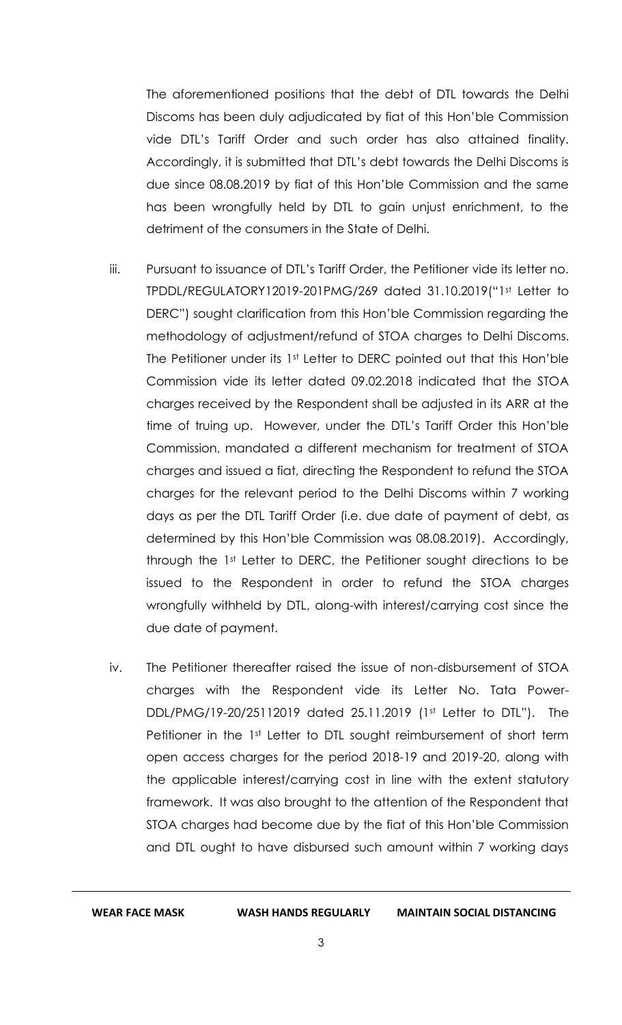The aforementioned positions that the debt of DTL towards the Delhi Discoms has been duly adjudicated by fiat of this Hon'ble Commission vide DTL's Tariff Order and such order has also attained finality. Accordingly, it is submitted that DTL's debt towards the Delhi Discoms is due since 08.08.2019 by fiat of this Hon'ble Commission and the same has been wrongfully held by DTL to gain unjust enrichment, to the detriment of the consumers in the State of Delhi.

- iii. Pursuant to issuance of DTL's Tariff Order, the Petitioner vide its letter no. TPDDL/REGULATORY12019-201PMG/269 dated 31.10.2019("1st Letter to DERC") sought clarification from this Hon'ble Commission regarding the methodology of adjustment/refund of STOA charges to Delhi Discoms. The Petitioner under its 1st Letter to DERC pointed out that this Hon'ble Commission vide its letter dated 09.02.2018 indicated that the STOA charges received by the Respondent shall be adjusted in its ARR at the time of truing up. However, under the DTL's Tariff Order this Hon'ble Commission, mandated a different mechanism for treatment of STOA charges and issued a fiat, directing the Respondent to refund the STOA charges for the relevant period to the Delhi Discoms within 7 working days as per the DTL Tariff Order (i.e. due date of payment of debt, as determined by this Hon'ble Commission was 08.08.2019). Accordingly, through the 1st Letter to DERC, the Petitioner sought directions to be issued to the Respondent in order to refund the STOA charges wrongfully withheld by DTL, along-with interest/carrying cost since the due date of payment.
- iv. The Petitioner thereafter raised the issue of non-disbursement of STOA charges with the Respondent vide its Letter No. Tata Power-DDL/PMG/19-20/25112019 dated 25.11.2019 (1st Letter to DTL"). The Petitioner in the 1st Letter to DTL sought reimbursement of short term open access charges for the period 2018-19 and 2019-20, along with the applicable interest/carrying cost in line with the extent statutory framework. It was also brought to the attention of the Respondent that STOA charges had become due by the fiat of this Hon'ble Commission and DTL ought to have disbursed such amount within 7 working days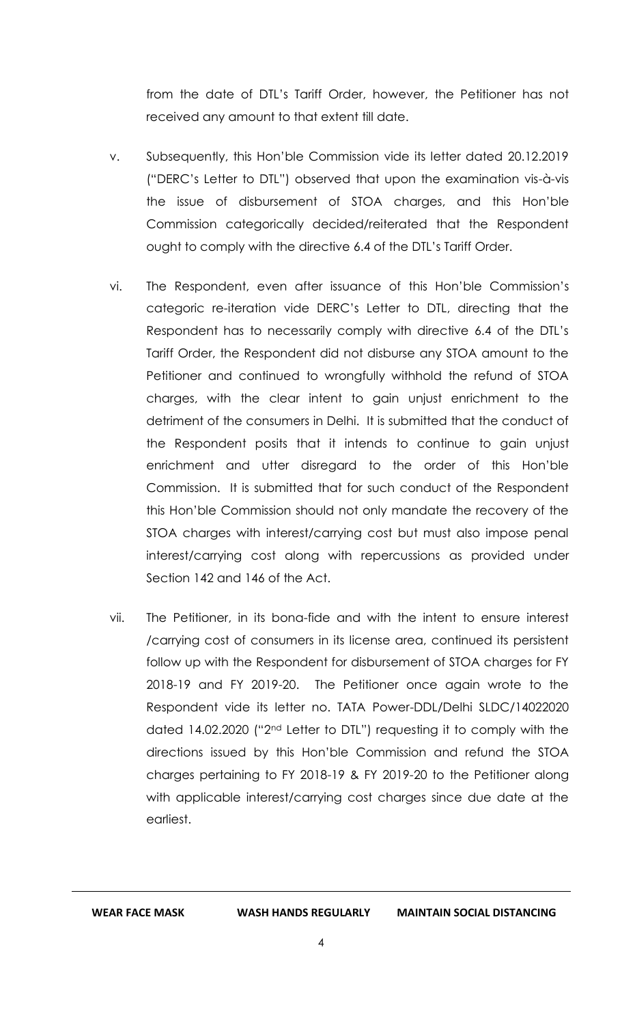from the date of DTL's Tariff Order, however, the Petitioner has not received any amount to that extent till date.

- v. Subsequently, this Hon'ble Commission vide its letter dated 20.12.2019 ("DERC's Letter to DTL") observed that upon the examination vis-à-vis the issue of disbursement of STOA charges, and this Hon'ble Commission categorically decided/reiterated that the Respondent ought to comply with the directive 6.4 of the DTL's Tariff Order.
- vi. The Respondent, even after issuance of this Hon'ble Commission's categoric re-iteration vide DERC's Letter to DTL, directing that the Respondent has to necessarily comply with directive 6.4 of the DTL's Tariff Order, the Respondent did not disburse any STOA amount to the Petitioner and continued to wrongfully withhold the refund of STOA charges, with the clear intent to gain unjust enrichment to the detriment of the consumers in Delhi. It is submitted that the conduct of the Respondent posits that it intends to continue to gain unjust enrichment and utter disregard to the order of this Hon'ble Commission. It is submitted that for such conduct of the Respondent this Hon'ble Commission should not only mandate the recovery of the STOA charges with interest/carrying cost but must also impose penal interest/carrying cost along with repercussions as provided under Section 142 and 146 of the Act.
- vii. The Petitioner, in its bona-fide and with the intent to ensure interest /carrying cost of consumers in its license area, continued its persistent follow up with the Respondent for disbursement of STOA charges for FY 2018-19 and FY 2019-20. The Petitioner once again wrote to the Respondent vide its letter no. TATA Power-DDL/Delhi SLDC/14022020 dated 14.02.2020 ("2nd Letter to DTL") requesting it to comply with the directions issued by this Hon'ble Commission and refund the STOA charges pertaining to FY 2018-19 & FY 2019-20 to the Petitioner along with applicable interest/carrying cost charges since due date at the earliest.

**WEAR FACE MASK WASH HANDS REGULARLY MAINTAIN SOCIAL DISTANCING**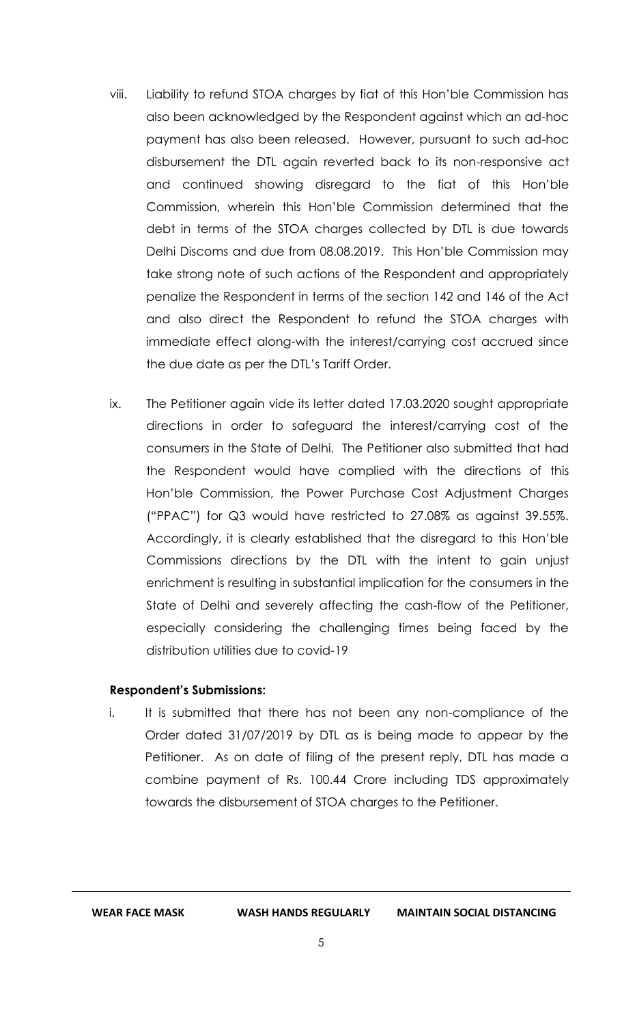- viii. Liability to refund STOA charges by fiat of this Hon'ble Commission has also been acknowledged by the Respondent against which an ad-hoc payment has also been released. However, pursuant to such ad-hoc disbursement the DTL again reverted back to its non-responsive act and continued showing disregard to the fiat of this Hon'ble Commission, wherein this Hon'ble Commission determined that the debt in terms of the STOA charges collected by DTL is due towards Delhi Discoms and due from 08.08.2019. This Hon'ble Commission may take strong note of such actions of the Respondent and appropriately penalize the Respondent in terms of the section 142 and 146 of the Act and also direct the Respondent to refund the STOA charges with immediate effect along-with the interest/carrying cost accrued since the due date as per the DTL's Tariff Order.
- ix. The Petitioner again vide its letter dated 17.03.2020 sought appropriate directions in order to safeguard the interest/carrying cost of the consumers in the State of Delhi. The Petitioner also submitted that had the Respondent would have complied with the directions of this Hon'ble Commission, the Power Purchase Cost Adjustment Charges ("PPAC") for Q3 would have restricted to 27.08% as against 39.55%. Accordingly, it is clearly established that the disregard to this Hon'ble Commissions directions by the DTL with the intent to gain unjust enrichment is resulting in substantial implication for the consumers in the State of Delhi and severely affecting the cash-flow of the Petitioner, especially considering the challenging times being faced by the distribution utilities due to covid-19

### **Respondent's Submissions:**

i. It is submitted that there has not been any non-compliance of the Order dated 31/07/2019 by DTL as is being made to appear by the Petitioner. As on date of filing of the present reply, DTL has made a combine payment of Rs. 100.44 Crore including TDS approximately towards the disbursement of STOA charges to the Petitioner.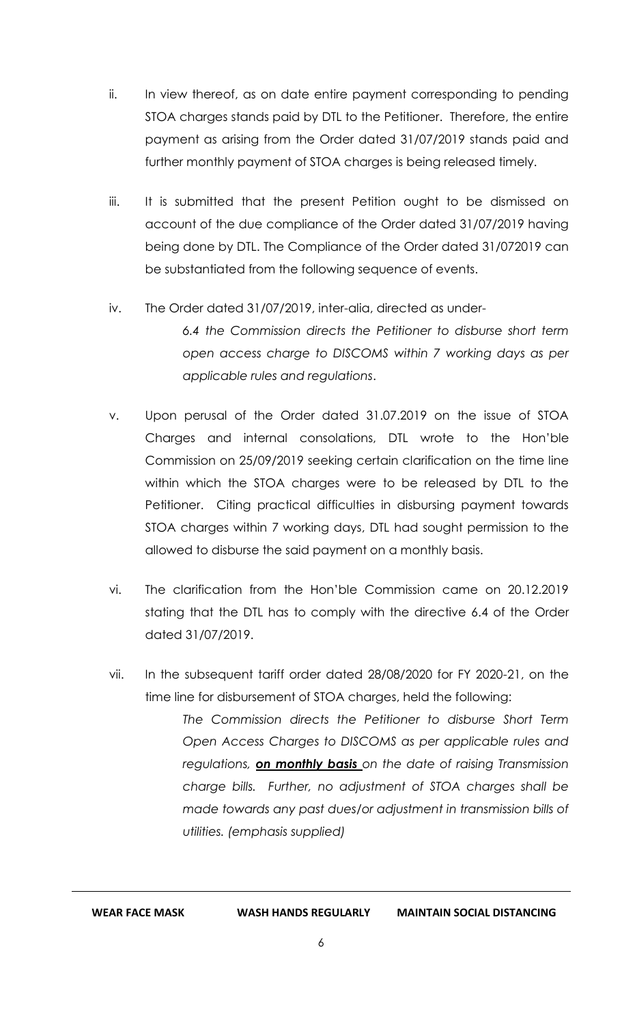- ii. In view thereof, as on date entire payment corresponding to pending STOA charges stands paid by DTL to the Petitioner. Therefore, the entire payment as arising from the Order dated 31/07/2019 stands paid and further monthly payment of STOA charges is being released timely.
- iii. It is submitted that the present Petition ought to be dismissed on account of the due compliance of the Order dated 31/07/2019 having being done by DTL. The Compliance of the Order dated 31/072019 can be substantiated from the following sequence of events.

# iv. The Order dated 31/07/2019, inter-alia, directed as under-

*6.4 the Commission directs the Petitioner to disburse short term open access charge to DISCOMS within 7 working days as per applicable rules and regulations*.

- v. Upon perusal of the Order dated 31.07.2019 on the issue of STOA Charges and internal consolations, DTL wrote to the Hon'ble Commission on 25/09/2019 seeking certain clarification on the time line within which the STOA charges were to be released by DTL to the Petitioner. Citing practical difficulties in disbursing payment towards STOA charges within 7 working days, DTL had sought permission to the allowed to disburse the said payment on a monthly basis.
- vi. The clarification from the Hon'ble Commission came on 20.12.2019 stating that the DTL has to comply with the directive 6.4 of the Order dated 31/07/2019.
- vii. In the subsequent tariff order dated 28/08/2020 for FY 2020-21, on the time line for disbursement of STOA charges, held the following:

*The Commission directs the Petitioner to disburse Short Term Open Access Charges to DISCOMS as per applicable rules and regulations, on monthly basis on the date of raising Transmission charge bills. Further, no adjustment of STOA charges shall be made towards any past dues/or adjustment in transmission bills of utilities. (emphasis supplied)*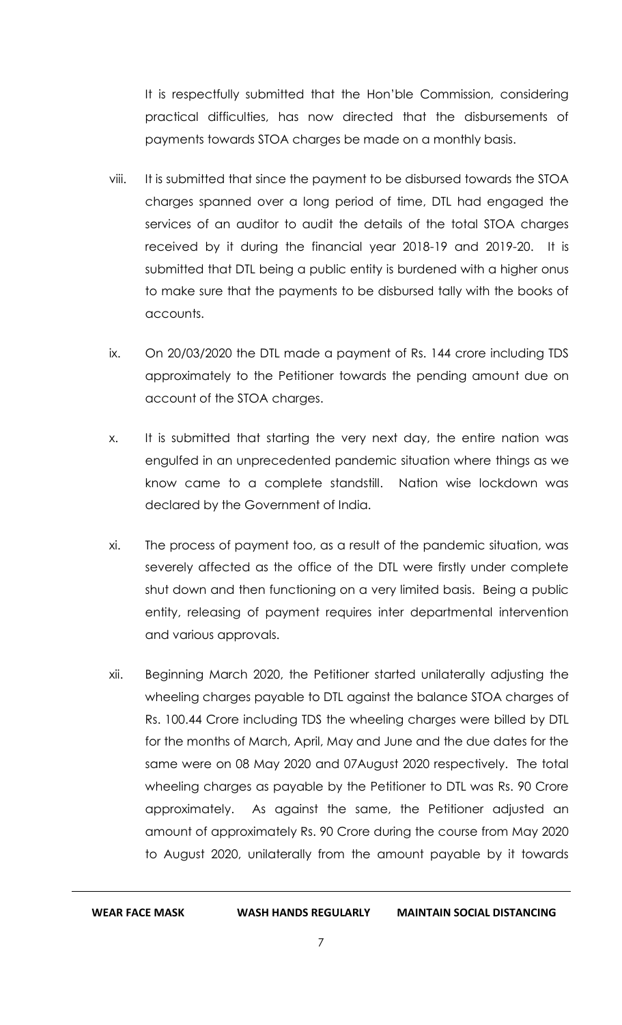It is respectfully submitted that the Hon'ble Commission, considering practical difficulties, has now directed that the disbursements of payments towards STOA charges be made on a monthly basis.

- viii. It is submitted that since the payment to be disbursed towards the STOA charges spanned over a long period of time, DTL had engaged the services of an auditor to audit the details of the total STOA charges received by it during the financial year 2018-19 and 2019-20. It is submitted that DTL being a public entity is burdened with a higher onus to make sure that the payments to be disbursed tally with the books of accounts.
- ix. On 20/03/2020 the DTL made a payment of Rs. 144 crore including TDS approximately to the Petitioner towards the pending amount due on account of the STOA charges.
- x. It is submitted that starting the very next day, the entire nation was engulfed in an unprecedented pandemic situation where things as we know came to a complete standstill. Nation wise lockdown was declared by the Government of India.
- xi. The process of payment too, as a result of the pandemic situation, was severely affected as the office of the DTL were firstly under complete shut down and then functioning on a very limited basis. Being a public entity, releasing of payment requires inter departmental intervention and various approvals.
- xii. Beginning March 2020, the Petitioner started unilaterally adjusting the wheeling charges payable to DTL against the balance STOA charges of Rs. 100.44 Crore including TDS the wheeling charges were billed by DTL for the months of March, April, May and June and the due dates for the same were on 08 May 2020 and 07August 2020 respectively. The total wheeling charges as payable by the Petitioner to DTL was Rs. 90 Crore approximately. As against the same, the Petitioner adjusted an amount of approximately Rs. 90 Crore during the course from May 2020 to August 2020, unilaterally from the amount payable by it towards

**WEAR FACE MASK WASH HANDS REGULARLY MAINTAIN SOCIAL DISTANCING**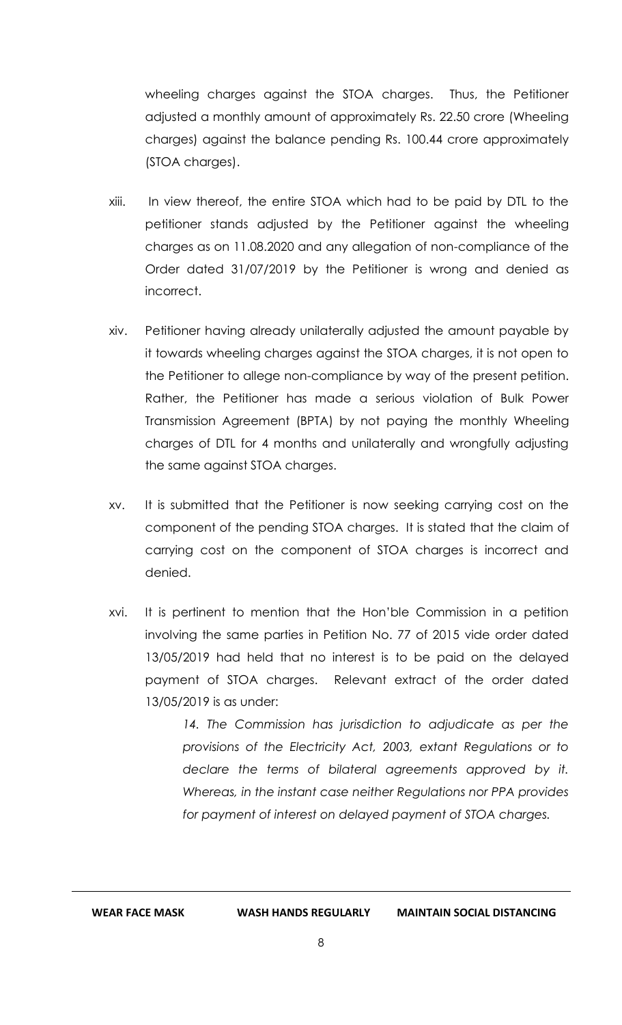wheeling charges against the STOA charges. Thus, the Petitioner adjusted a monthly amount of approximately Rs. 22.50 crore (Wheeling charges) against the balance pending Rs. 100.44 crore approximately (STOA charges).

- xiii. In view thereof, the entire STOA which had to be paid by DTL to the petitioner stands adjusted by the Petitioner against the wheeling charges as on 11.08.2020 and any allegation of non-compliance of the Order dated 31/07/2019 by the Petitioner is wrong and denied as incorrect.
- xiv. Petitioner having already unilaterally adjusted the amount payable by it towards wheeling charges against the STOA charges, it is not open to the Petitioner to allege non-compliance by way of the present petition. Rather, the Petitioner has made a serious violation of Bulk Power Transmission Agreement (BPTA) by not paying the monthly Wheeling charges of DTL for 4 months and unilaterally and wrongfully adjusting the same against STOA charges.
- xv. It is submitted that the Petitioner is now seeking carrying cost on the component of the pending STOA charges. It is stated that the claim of carrying cost on the component of STOA charges is incorrect and denied.
- xvi. It is pertinent to mention that the Hon'ble Commission in a petition involving the same parties in Petition No. 77 of 2015 vide order dated 13/05/2019 had held that no interest is to be paid on the delayed payment of STOA charges. Relevant extract of the order dated 13/05/2019 is as under:

14. The Commission has jurisdiction to adjudicate as per the *provisions of the Electricity Act, 2003, extant Regulations or to declare the terms of bilateral agreements approved by it. Whereas, in the instant case neither Regulations nor PPA provides for payment of interest on delayed payment of STOA charges.*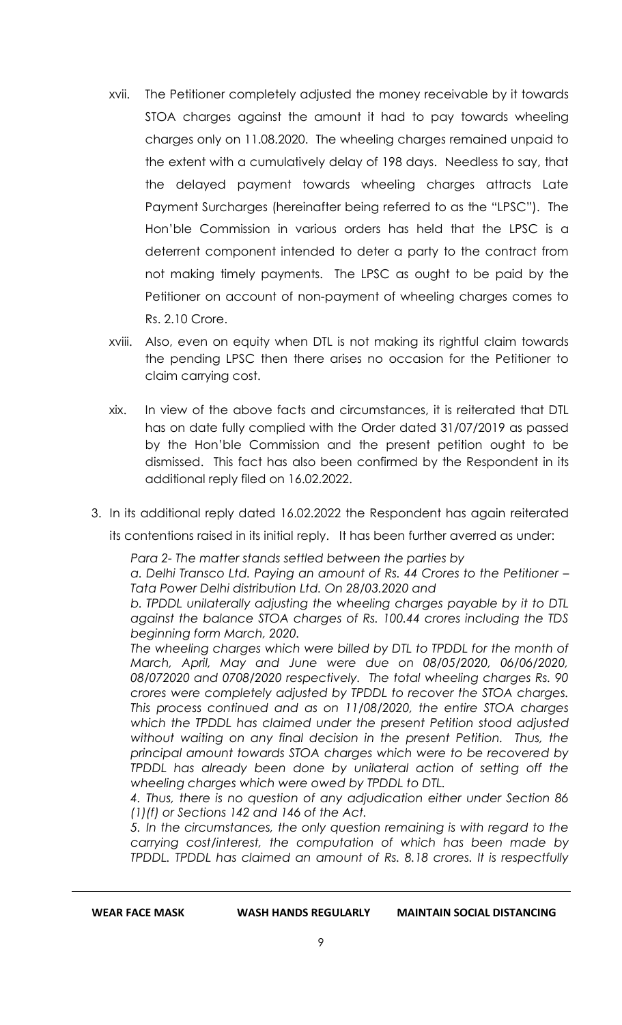- xvii. The Petitioner completely adjusted the money receivable by it towards STOA charges against the amount it had to pay towards wheeling charges only on 11.08.2020. The wheeling charges remained unpaid to the extent with a cumulatively delay of 198 days. Needless to say, that the delayed payment towards wheeling charges attracts Late Payment Surcharges (hereinafter being referred to as the "LPSC"). The Hon'ble Commission in various orders has held that the LPSC is a deterrent component intended to deter a party to the contract from not making timely payments. The LPSC as ought to be paid by the Petitioner on account of non-payment of wheeling charges comes to Rs. 2.10 Crore.
- xviii. Also, even on equity when DTL is not making its rightful claim towards the pending LPSC then there arises no occasion for the Petitioner to claim carrying cost.
- xix. In view of the above facts and circumstances, it is reiterated that DTL has on date fully complied with the Order dated 31/07/2019 as passed by the Hon'ble Commission and the present petition ought to be dismissed. This fact has also been confirmed by the Respondent in its additional reply filed on 16.02.2022.
- 3. In its additional reply dated 16.02.2022 the Respondent has again reiterated

its contentions raised in its initial reply. It has been further averred as under:

*Para 2- The matter stands settled between the parties by a. Delhi Transco Ltd. Paying an amount of Rs. 44 Crores to the Petitioner – Tata Power Delhi distribution Ltd. On 28/03.2020 and*

*b. TPDDL unilaterally adjusting the wheeling charges payable by it to DTL against the balance STOA charges of Rs. 100.44 crores including the TDS beginning form March, 2020.*

The wheeling charges which were billed by DTL to TPDDL for the month of *March, April, May and June were due on 08/05/2020, 06/06/2020, 08/072020 and 0708/2020 respectively. The total wheeling charges Rs. 90 crores were completely adjusted by TPDDL to recover the STOA charges. This process continued and as on 11/08/2020, the entire STOA charges which the TPDDL has claimed under the present Petition stood adjusted without waiting on any final decision in the present Petition. Thus, the principal amount towards STOA charges which were to be recovered by TPDDL has already been done by unilateral action of setting off the wheeling charges which were owed by TPDDL to DTL.*

*4. Thus, there is no question of any adjudication either under Section 86 (1)(f) or Sections 142 and 146 of the Act.*

*5. In the circumstances, the only question remaining is with regard to the carrying cost/interest, the computation of which has been made by TPDDL. TPDDL has claimed an amount of Rs. 8.18 crores. It is respectfully* 

**WEAR FACE MASK WASH HANDS REGULARLY MAINTAIN SOCIAL DISTANCING**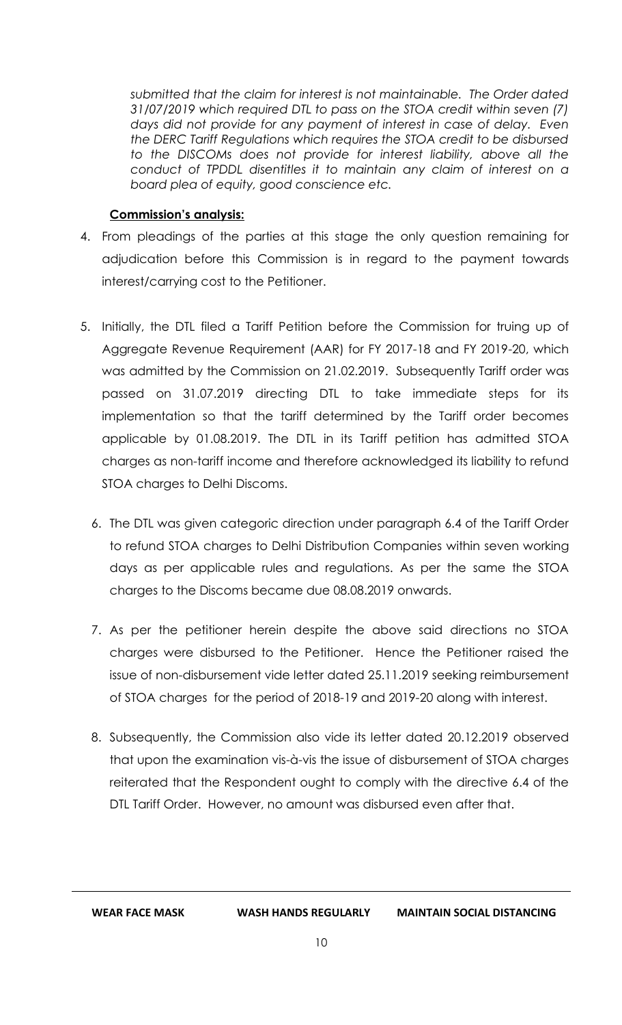*submitted that the claim for interest is not maintainable. The Order dated 31/07/2019 which required DTL to pass on the STOA credit within seven (7) days did not provide for any payment of interest in case of delay. Even the DERC Tariff Regulations which requires the STOA credit to be disbursed to the DISCOMs does not provide for interest liability, above all the conduct of TPDDL disentitles it to maintain any claim of interest on a board plea of equity, good conscience etc.* 

## **Commission's analysis:**

- 4. From pleadings of the parties at this stage the only question remaining for adjudication before this Commission is in regard to the payment towards interest/carrying cost to the Petitioner.
- 5. Initially, the DTL filed a Tariff Petition before the Commission for truing up of Aggregate Revenue Requirement (AAR) for FY 2017-18 and FY 2019-20, which was admitted by the Commission on 21.02.2019. Subsequently Tariff order was passed on 31.07.2019 directing DTL to take immediate steps for its implementation so that the tariff determined by the Tariff order becomes applicable by 01.08.2019. The DTL in its Tariff petition has admitted STOA charges as non-tariff income and therefore acknowledged its liability to refund STOA charges to Delhi Discoms.
	- 6. The DTL was given categoric direction under paragraph 6.4 of the Tariff Order to refund STOA charges to Delhi Distribution Companies within seven working days as per applicable rules and regulations. As per the same the STOA charges to the Discoms became due 08.08.2019 onwards.
	- 7. As per the petitioner herein despite the above said directions no STOA charges were disbursed to the Petitioner. Hence the Petitioner raised the issue of non-disbursement vide letter dated 25.11.2019 seeking reimbursement of STOA charges for the period of 2018-19 and 2019-20 along with interest.
	- 8. Subsequently, the Commission also vide its letter dated 20.12.2019 observed that upon the examination vis-à-vis the issue of disbursement of STOA charges reiterated that the Respondent ought to comply with the directive 6.4 of the DTL Tariff Order. However, no amount was disbursed even after that.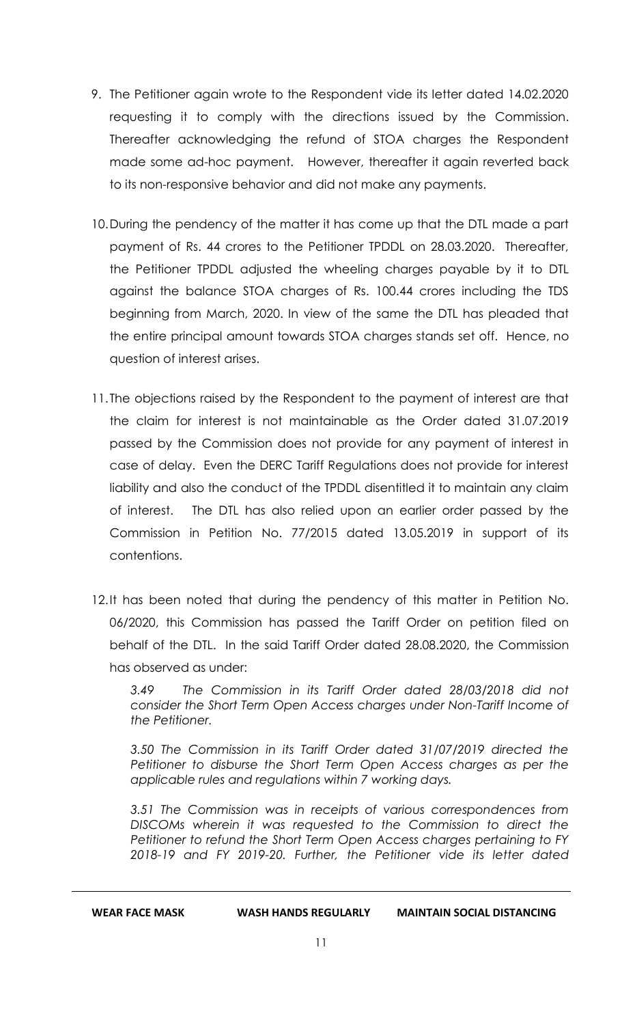- 9. The Petitioner again wrote to the Respondent vide its letter dated 14.02.2020 requesting it to comply with the directions issued by the Commission. Thereafter acknowledging the refund of STOA charges the Respondent made some ad-hoc payment. However, thereafter it again reverted back to its non-responsive behavior and did not make any payments.
- 10.During the pendency of the matter it has come up that the DTL made a part payment of Rs. 44 crores to the Petitioner TPDDL on 28.03.2020. Thereafter, the Petitioner TPDDL adjusted the wheeling charges payable by it to DTL against the balance STOA charges of Rs. 100.44 crores including the TDS beginning from March, 2020. In view of the same the DTL has pleaded that the entire principal amount towards STOA charges stands set off. Hence, no question of interest arises.
- 11. The objections raised by the Respondent to the payment of interest are that the claim for interest is not maintainable as the Order dated 31.07.2019 passed by the Commission does not provide for any payment of interest in case of delay. Even the DERC Tariff Regulations does not provide for interest liability and also the conduct of the TPDDL disentitled it to maintain any claim of interest. The DTL has also relied upon an earlier order passed by the Commission in Petition No. 77/2015 dated 13.05.2019 in support of its contentions.
- 12.It has been noted that during the pendency of this matter in Petition No. 06/2020, this Commission has passed the Tariff Order on petition filed on behalf of the DTL. In the said Tariff Order dated 28.08.2020, the Commission has observed as under:

*3.49 The Commission in its Tariff Order dated 28/03/2018 did not consider the Short Term Open Access charges under Non-Tariff Income of the Petitioner.* 

*3.50 The Commission in its Tariff Order dated 31/07/2019 directed the Petitioner to disburse the Short Term Open Access charges as per the applicable rules and regulations within 7 working days.* 

*3.51 The Commission was in receipts of various correspondences from DISCOMs wherein it was requested to the Commission to direct the Petitioner to refund the Short Term Open Access charges pertaining to FY 2018-19 and FY 2019-20. Further, the Petitioner vide its letter dated*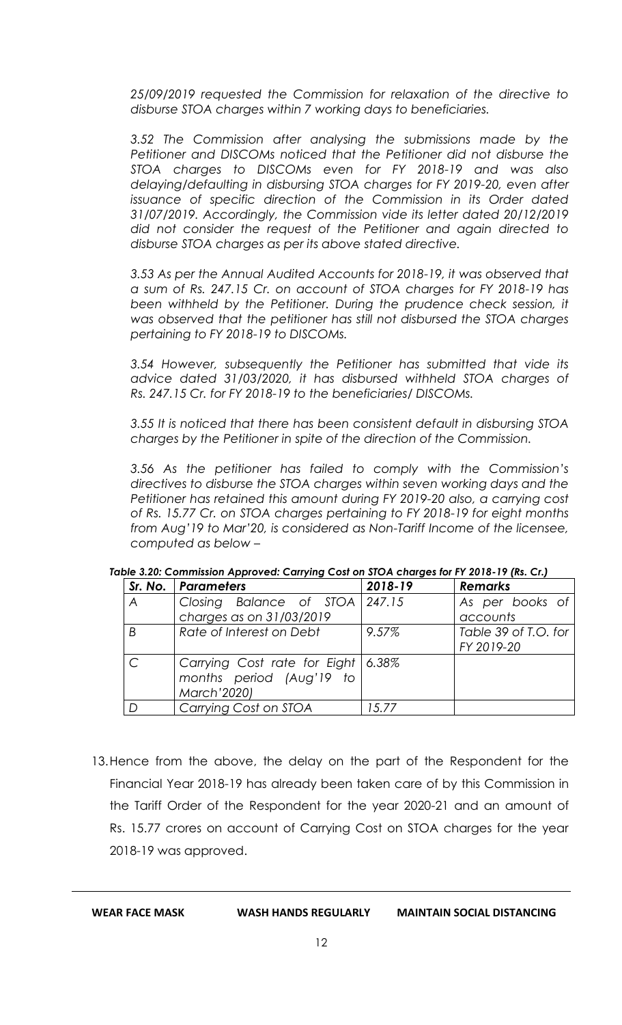*25/09/2019 requested the Commission for relaxation of the directive to disburse STOA charges within 7 working days to beneficiaries.* 

*3.52 The Commission after analysing the submissions made by the Petitioner and DISCOMs noticed that the Petitioner did not disburse the STOA charges to DISCOMs even for FY 2018-19 and was also delaying/defaulting in disbursing STOA charges for FY 2019-20, even after issuance of specific direction of the Commission in its Order dated 31/07/2019. Accordingly, the Commission vide its letter dated 20/12/2019 did not consider the request of the Petitioner and again directed to disburse STOA charges as per its above stated directive.* 

*3.53 As per the Annual Audited Accounts for 2018-19, it was observed that a sum of Rs. 247.15 Cr. on account of STOA charges for FY 2018-19 has*  been withheld by the Petitioner. During the prudence check session, it *was observed that the petitioner has still not disbursed the STOA charges pertaining to FY 2018-19 to DISCOMs.* 

*3.54 However, subsequently the Petitioner has submitted that vide its advice dated 31/03/2020, it has disbursed withheld STOA charges of Rs. 247.15 Cr. for FY 2018-19 to the beneficiaries/ DISCOMs.* 

*3.55 It is noticed that there has been consistent default in disbursing STOA charges by the Petitioner in spite of the direction of the Commission.* 

*3.56 As the petitioner has failed to comply with the Commission's directives to disburse the STOA charges within seven working days and the Petitioner has retained this amount during FY 2019-20 also, a carrying cost of Rs. 15.77 Cr. on STOA charges pertaining to FY 2018-19 for eight months from Aug'19 to Mar'20, is considered as Non-Tariff Income of the licensee, computed as below –*

|               | Sr. No.   Parameters                 | 2018-19 | <b>Remarks</b>       |
|---------------|--------------------------------------|---------|----------------------|
| A             | Closing Balance of STOA 247.15       |         | As per books of      |
|               | charges as on 31/03/2019             |         | accounts             |
| B             | Rate of Interest on Debt             | 9.57%   | Table 39 of T.O. for |
|               |                                      |         | FY 2019-20           |
| $\mathcal{C}$ | Carrying Cost rate for Eight   6.38% |         |                      |
|               | months period (Aug'19 to             |         |                      |
|               | March'2020)                          |         |                      |
| D             | Carrying Cost on STOA                | 15.77   |                      |

#### *Table 3.20: Commission Approved: Carrying Cost on STOA charges for FY 2018-19 (Rs. Cr.)*

13.Hence from the above, the delay on the part of the Respondent for the Financial Year 2018-19 has already been taken care of by this Commission in the Tariff Order of the Respondent for the year 2020-21 and an amount of Rs. 15.77 crores on account of Carrying Cost on STOA charges for the year 2018-19 was approved.